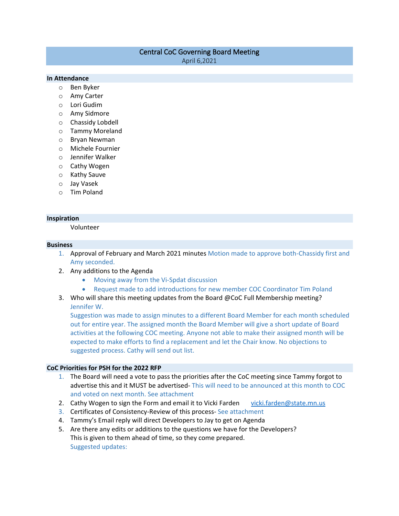# Central CoC Governing Board Meeting

April 6,2021

### **In Attendance**

- o Ben Byker
- o Amy Carter
- o Lori Gudim
- o Amy Sidmore
- o Chassidy Lobdell
- o Tammy Moreland
- o Bryan Newman
- o Michele Fournier
- o Jennifer Walker
- o Cathy Wogen
- o Kathy Sauve
- o Jay Vasek
- o Tim Poland

## **Inspiration**

Volunteer

#### **Business**

- 1. Approval of February and March 2021 minutes Motion made to approve both-Chassidy first and Amy seconded.
- 2. Any additions to the Agenda
	- Moving away from the Vi-Spdat discussion
	- Request made to add introductions for new member COC Coordinator Tim Poland
- 3. Who will share this meeting updates from the Board @CoC Full Membership meeting? Jennifer W.

Suggestion was made to assign minutes to a different Board Member for each month scheduled out for entire year. The assigned month the Board Member will give a short update of Board activities at the following COC meeting. Anyone not able to make their assigned month will be expected to make efforts to find a replacement and let the Chair know. No objections to suggested process. Cathy will send out list.

#### **CoC Priorities for PSH for the 2022 RFP**

- 1. The Board will need a vote to pass the priorities after the CoC meeting since Tammy forgot to advertise this and it MUST be advertised- This will need to be announced at this month to COC and voted on next month. See attachment
- 2. Cathy Wogen to sign the Form and email it to Vicki Farden [vicki.farden@state.mn.us](mailto:vicki.farden@state.mn.us)
- 3. Certificates of Consistency-Review of this process- See attachment
- 4. Tammy's Email reply will direct Developers to Jay to get on Agenda
- 5. Are there any edits or additions to the questions we have for the Developers? This is given to them ahead of time, so they come prepared. Suggested updates: